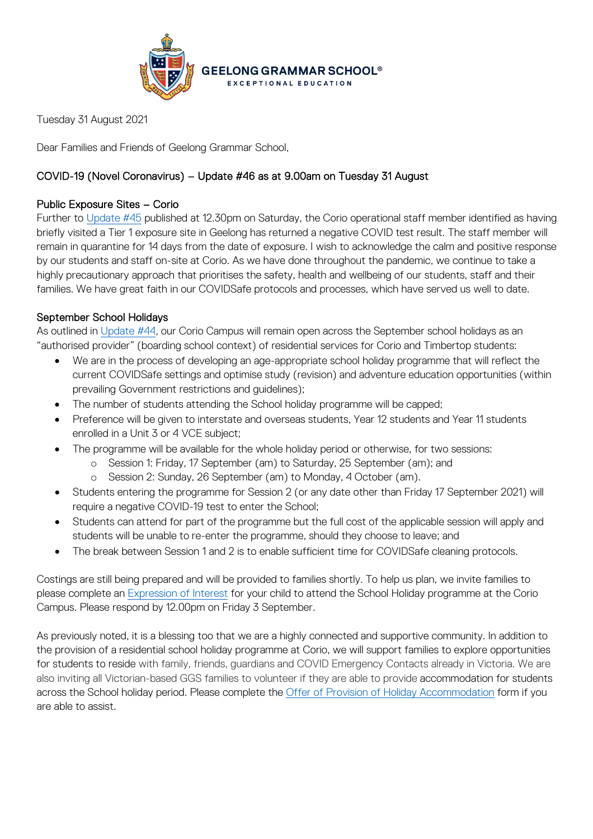

Tuesday 31 August 2021

Dear Families and Friends of Geelong Grammar School,

# COVID-19 (Novel Coronavirus) – Update #46 as at 9.00am on Tuesday 31 August

## Public Exposure Sites – Corio

Further to [Update #45](https://www.ggs.vic.edu.au/ArticleDocuments/1007/Coronavirus%20Update%2045_280821.pdf.aspx) published at 12.30pm on Saturday, the Corio operational staff member identified as having briefly visited a Tier 1 exposure site in Geelong has returned a negative COVID test result. The staff member will remain in quarantine for 14 days from the date of exposure. I wish to acknowledge the calm and positive response by our students and staff on-site at Corio. As we have done throughout the pandemic, we continue to take a highly precautionary approach that prioritises the safety, health and wellbeing of our students, staff and their families. We have great faith in our COVIDSafe protocols and processes, which have served us well to date.

## September School Holidays

As outlined in [Update #44,](https://www.ggs.vic.edu.au/ArticleDocuments/1007/Coronavirus%20Update%2044_270821.pdf.aspx) our Corio Campus will remain open across the September school holidays as an "authorised provider" (boarding school context) of residential services for Corio and Timbertop students:

- We are in the process of developing an age-appropriate school holiday programme that will reflect the current COVIDSafe settings and optimise study (revision) and adventure education opportunities (within prevailing Government restrictions and guidelines);
- The number of students attending the School holiday programme will be capped;
- Preference will be given to interstate and overseas students, Year 12 students and Year 11 students enrolled in a Unit 3 or 4 VCE subject;
- The programme will be available for the whole holiday period or otherwise, for two sessions:
	- o Session 1: Friday, 17 September (am) to Saturday, 25 September (am); and
	- o Session 2: Sunday, 26 September (am) to Monday, 4 October (am).
- Students entering the programme for Session 2 (or any date other than Friday 17 September 2021) will require a negative COVID-19 test to enter the School;
- Students can attend for part of the programme but the full cost of the applicable session will apply and students will be unable to re-enter the programme, should they choose to leave; and
- The break between Session 1 and 2 is to enable sufficient time for COVIDSafe cleaning protocols.

Costings are still being prepared and will be provided to families shortly. To help us plan, we invite families to please complete an [Expression of Interest](https://forms.office.com/Pages/DesignPage.aspx?wdLOR=cD20B46A5-F721-487A-A303-9F702D4D82B2#FormId=ELu_KfmYBkWxD1P2rSx8EhNGL3Sos4VPnO1rlxA0dvVUMzdEWVU1SUJPTEZUOTlOVURHMDVQOERJMi4u&Token=10c5ff6ac2e4480e955fb2c58e18912e) for your child to attend the School Holiday programme at the Corio Campus. Please respond by 12.00pm on Friday 3 September.

As previously noted, it is a blessing too that we are a highly connected and supportive community. In addition to the provision of a residential school holiday programme at Corio, we will support families to explore opportunities for students to reside with family, friends, guardians and COVID Emergency Contacts already in Victoria. We are also inviting all Victorian-based GGS families to volunteer if they are able to provide accommodation for students across the School holiday period. Please complete the Offer [of Provision of Holiday Accommodation](https://forms.office.com/Pages/DesignPage.aspx?wdLOR=c7ED72539-2590-462D-9BF4-D4AFD01443FF#FormId=ELu_KfmYBkWxD1P2rSx8EhNGL3Sos4VPnO1rlxA0dvVURVhSSUkzRDY5VUc4M1pBNVJBUlRVMThXOC4u&Token=c03ac5a079ce476396b94203bf8c701e) form if you are able to assist.